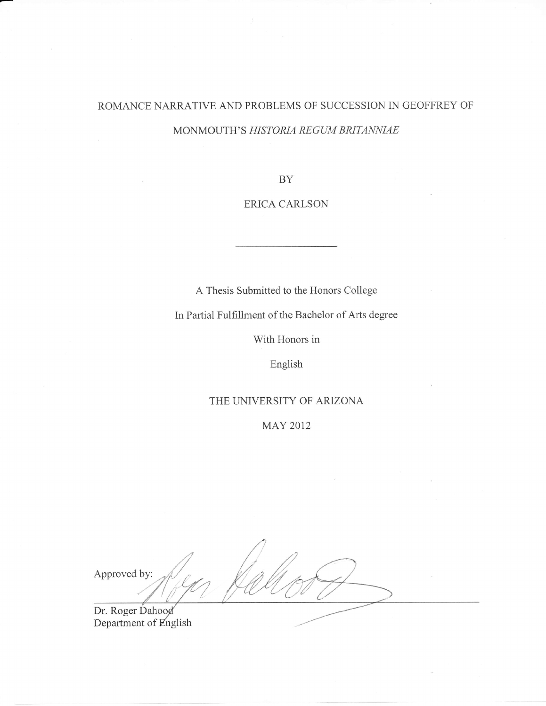# ROMANCE NARRATIVE AND PROBLEMS OF SUCCESSION IN GEOFFREY OF MONMOUTH'S HISTORIA REGUM BRITANNIAE

BY

### ERICA CARLSON

A Thesis Submitted to the Honors Collese

In Partial Fulfillment of the Bachelor of Arts desree

With Honors in

English

### THE UNIVERSITY OF ARIZONA

MAY 2012

Approved by: Dr. Roger Dahood<br>Department of English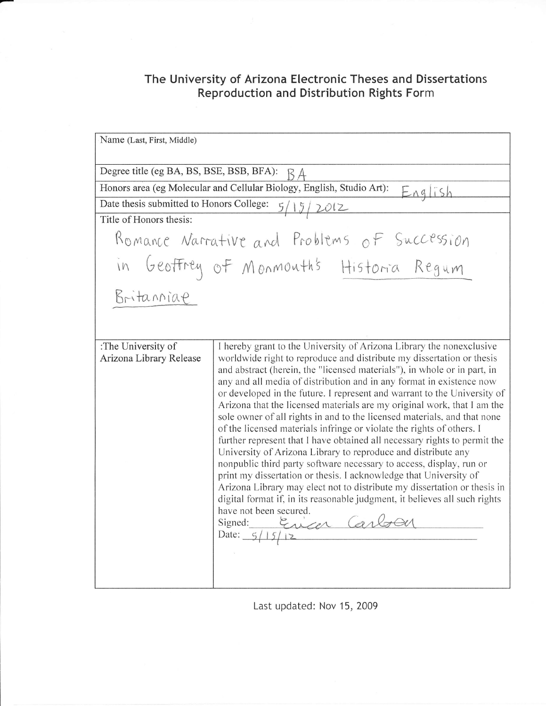## The University of Arizona Electronic Theses and Dissertations Reproduction and Distribution Rights Form

Name (Last, First, Middle) Degree title (eg BA, BS, BSE, BSB, BFA):  $\beta$  A Honors area (eg Molecular and Cellular Biology, English, Studio Art):  $\mathbb{E}_{\hat{\mathsf{A}} \hat{\mathsf{q}}}$  ish Date thesis submitted to Honors College:  $5/15/2012$ Title of Honors thesis: Romance Narrative and Problems of Succession  $\hat{c}$ Monmouth's Historia Regum in Geoffrey of Britanniae :The University of Arizona Library Release I hereby grant to the University of Arizona Library the nonexclusive worldwide right to reproduce and distribute my dissertation or thesis and abstract (herein, the "licensed materials"), in whole or in part, in any and all mediaof distribution and in any format in existence now or developed in the future. I represent and warrant to the University of Arizona that the licensed materials are my original work, that I am the sole owner of all rights in and to the licensed materials, and that none of the licensed materials infringe or violate the rights of others. <sup>I</sup> further represent that I have obtained all necessary rights to perrnit the University of Arizona Library to reproduce and distribute any nonpublic third party software necessary to access, display, run or print my dissertation or thesis. I acknowledge that University of Arizona Library may elect not to distribute my dissertation or thesis in digital format if, in its reasonable judgment, it believes all such rights have not been secured.<br>Signed:  $\frac{\xi_{\lambda}Z_{\lambda}}{\xi_{\lambda}Z_{\lambda}}$  CarlsOU

Last updated: Nov 15, 2009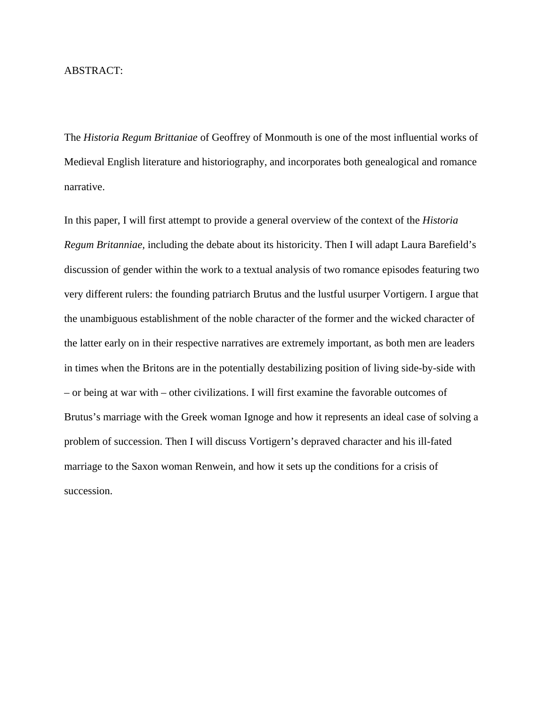### ABSTRACT:

The *Historia Regum Brittaniae* of Geoffrey of Monmouth is one of the most influential works of Medieval English literature and historiography, and incorporates both genealogical and romance narrative.

In this paper, I will first attempt to provide a general overview of the context of the *Historia Regum Britanniae,* including the debate about its historicity. Then I will adapt Laura Barefield's discussion of gender within the work to a textual analysis of two romance episodes featuring two very different rulers: the founding patriarch Brutus and the lustful usurper Vortigern. I argue that the unambiguous establishment of the noble character of the former and the wicked character of the latter early on in their respective narratives are extremely important, as both men are leaders in times when the Britons are in the potentially destabilizing position of living side-by-side with – or being at war with – other civilizations. I will first examine the favorable outcomes of Brutus's marriage with the Greek woman Ignoge and how it represents an ideal case of solving a problem of succession. Then I will discuss Vortigern's depraved character and his ill-fated marriage to the Saxon woman Renwein, and how it sets up the conditions for a crisis of succession.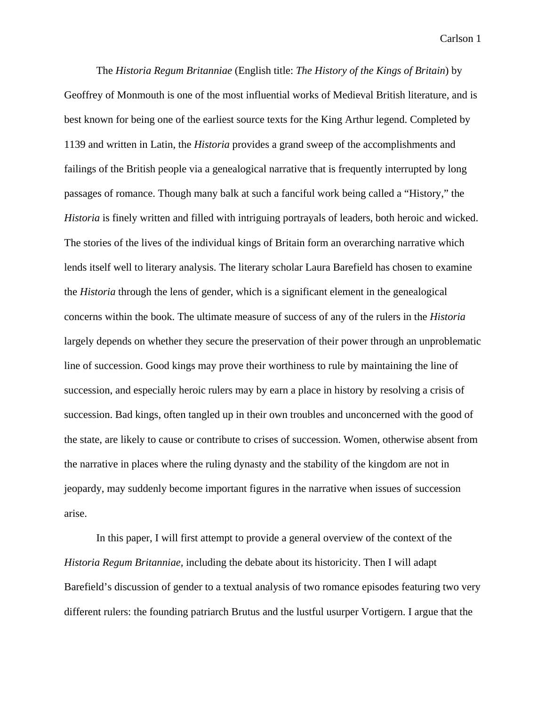The *Historia Regum Britanniae* (English title: *The History of the Kings of Britain*) by Geoffrey of Monmouth is one of the most influential works of Medieval British literature, and is best known for being one of the earliest source texts for the King Arthur legend. Completed by 1139 and written in Latin, the *Historia* provides a grand sweep of the accomplishments and failings of the British people via a genealogical narrative that is frequently interrupted by long passages of romance. Though many balk at such a fanciful work being called a "History," the *Historia* is finely written and filled with intriguing portrayals of leaders, both heroic and wicked. The stories of the lives of the individual kings of Britain form an overarching narrative which lends itself well to literary analysis. The literary scholar Laura Barefield has chosen to examine the *Historia* through the lens of gender, which is a significant element in the genealogical concerns within the book. The ultimate measure of success of any of the rulers in the *Historia* largely depends on whether they secure the preservation of their power through an unproblematic line of succession. Good kings may prove their worthiness to rule by maintaining the line of succession, and especially heroic rulers may by earn a place in history by resolving a crisis of succession. Bad kings, often tangled up in their own troubles and unconcerned with the good of the state, are likely to cause or contribute to crises of succession. Women, otherwise absent from the narrative in places where the ruling dynasty and the stability of the kingdom are not in jeopardy, may suddenly become important figures in the narrative when issues of succession arise.

In this paper, I will first attempt to provide a general overview of the context of the *Historia Regum Britanniae,* including the debate about its historicity. Then I will adapt Barefield's discussion of gender to a textual analysis of two romance episodes featuring two very different rulers: the founding patriarch Brutus and the lustful usurper Vortigern. I argue that the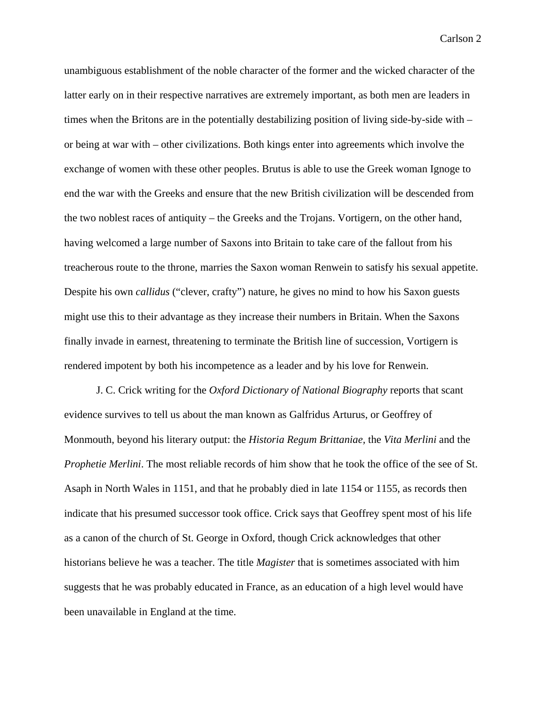unambiguous establishment of the noble character of the former and the wicked character of the latter early on in their respective narratives are extremely important, as both men are leaders in times when the Britons are in the potentially destabilizing position of living side-by-side with – or being at war with – other civilizations. Both kings enter into agreements which involve the exchange of women with these other peoples. Brutus is able to use the Greek woman Ignoge to end the war with the Greeks and ensure that the new British civilization will be descended from the two noblest races of antiquity – the Greeks and the Trojans. Vortigern, on the other hand, having welcomed a large number of Saxons into Britain to take care of the fallout from his treacherous route to the throne, marries the Saxon woman Renwein to satisfy his sexual appetite. Despite his own *callidus* ("clever, crafty") nature, he gives no mind to how his Saxon guests might use this to their advantage as they increase their numbers in Britain. When the Saxons finally invade in earnest, threatening to terminate the British line of succession, Vortigern is rendered impotent by both his incompetence as a leader and by his love for Renwein.

J. C. Crick writing for the *Oxford Dictionary of National Biography* reports that scant evidence survives to tell us about the man known as Galfridus Arturus, or Geoffrey of Monmouth, beyond his literary output: the *Historia Regum Brittaniae,* the *Vita Merlini* and the *Prophetie Merlini*. The most reliable records of him show that he took the office of the see of St. Asaph in North Wales in 1151, and that he probably died in late 1154 or 1155, as records then indicate that his presumed successor took office. Crick says that Geoffrey spent most of his life as a canon of the church of St. George in Oxford, though Crick acknowledges that other historians believe he was a teacher. The title *Magister* that is sometimes associated with him suggests that he was probably educated in France, as an education of a high level would have been unavailable in England at the time.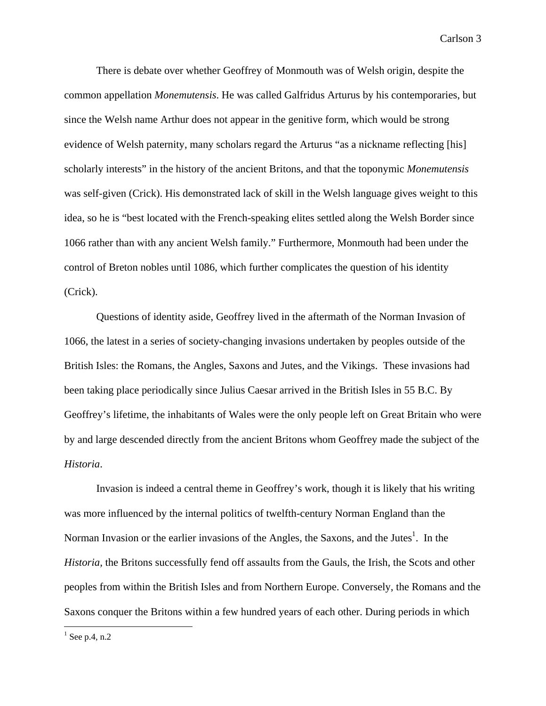There is debate over whether Geoffrey of Monmouth was of Welsh origin, despite the common appellation *Monemutensis*. He was called Galfridus Arturus by his contemporaries, but since the Welsh name Arthur does not appear in the genitive form, which would be strong evidence of Welsh paternity, many scholars regard the Arturus "as a nickname reflecting [his] scholarly interests" in the history of the ancient Britons, and that the toponymic *Monemutensis* was self-given (Crick). His demonstrated lack of skill in the Welsh language gives weight to this idea, so he is "best located with the French-speaking elites settled along the Welsh Border since 1066 rather than with any ancient Welsh family." Furthermore, Monmouth had been under the control of Breton nobles until 1086, which further complicates the question of his identity (Crick).

Questions of identity aside, Geoffrey lived in the aftermath of the Norman Invasion of 1066, the latest in a series of society-changing invasions undertaken by peoples outside of the British Isles: the Romans, the Angles, Saxons and Jutes, and the Vikings. These invasions had been taking place periodically since Julius Caesar arrived in the British Isles in 55 B.C. By Geoffrey's lifetime, the inhabitants of Wales were the only people left on Great Britain who were by and large descended directly from the ancient Britons whom Geoffrey made the subject of the *Historia*.

Invasion is indeed a central theme in Geoffrey's work, though it is likely that his writing was more influenced by the internal politics of twelfth-century Norman England than the Norman Invasion or the earlier invasions of the Angles, the Saxons, and the Jutes<sup>1</sup>. In the *Historia,* the Britons successfully fend off assaults from the Gauls, the Irish, the Scots and other peoples from within the British Isles and from Northern Europe. Conversely, the Romans and the Saxons conquer the Britons within a few hundred years of each other. During periods in which

 $<sup>1</sup>$  See p.4, n.2</sup>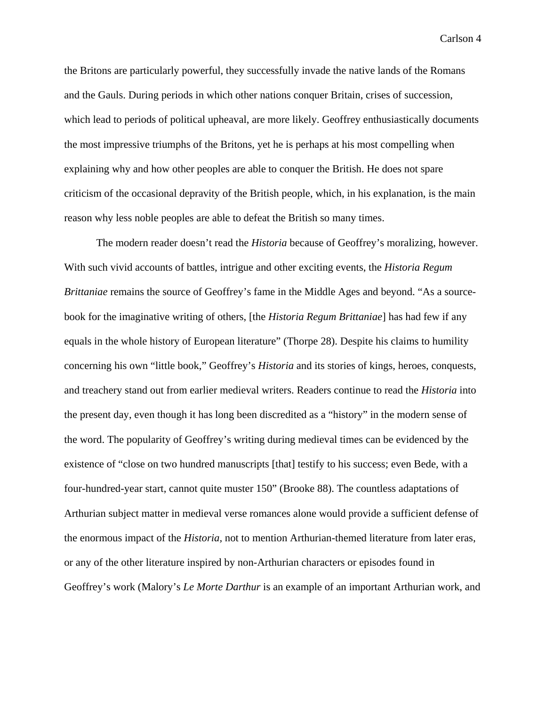the Britons are particularly powerful, they successfully invade the native lands of the Romans and the Gauls. During periods in which other nations conquer Britain, crises of succession, which lead to periods of political upheaval, are more likely. Geoffrey enthusiastically documents the most impressive triumphs of the Britons, yet he is perhaps at his most compelling when explaining why and how other peoples are able to conquer the British. He does not spare criticism of the occasional depravity of the British people, which, in his explanation, is the main reason why less noble peoples are able to defeat the British so many times.

 The modern reader doesn't read the *Historia* because of Geoffrey's moralizing, however. With such vivid accounts of battles, intrigue and other exciting events, the *Historia Regum Brittaniae* remains the source of Geoffrey's fame in the Middle Ages and beyond. "As a sourcebook for the imaginative writing of others, [the *Historia Regum Brittaniae*] has had few if any equals in the whole history of European literature" (Thorpe 28). Despite his claims to humility concerning his own "little book," Geoffrey's *Historia* and its stories of kings, heroes, conquests, and treachery stand out from earlier medieval writers. Readers continue to read the *Historia* into the present day, even though it has long been discredited as a "history" in the modern sense of the word. The popularity of Geoffrey's writing during medieval times can be evidenced by the existence of "close on two hundred manuscripts [that] testify to his success; even Bede, with a four-hundred-year start, cannot quite muster 150" (Brooke 88). The countless adaptations of Arthurian subject matter in medieval verse romances alone would provide a sufficient defense of the enormous impact of the *Historia,* not to mention Arthurian-themed literature from later eras, or any of the other literature inspired by non-Arthurian characters or episodes found in Geoffrey's work (Malory's *Le Morte Darthur* is an example of an important Arthurian work, and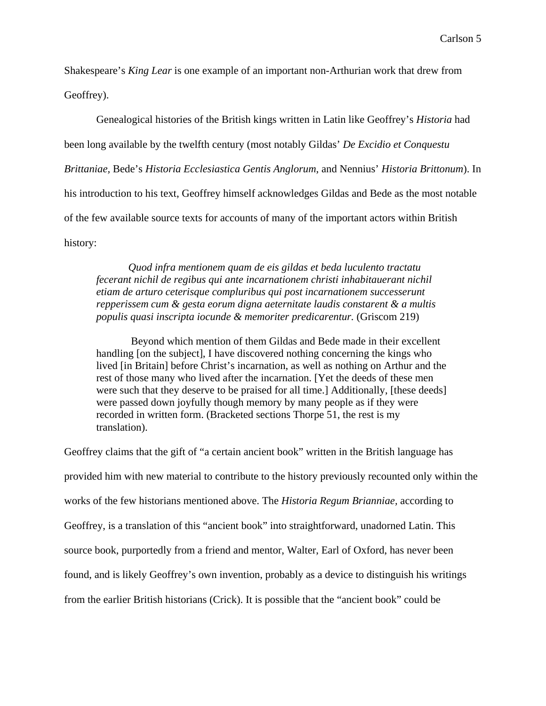Shakespeare's *King Lear* is one example of an important non-Arthurian work that drew from Geoffrey).

Genealogical histories of the British kings written in Latin like Geoffrey's *Historia* had been long available by the twelfth century (most notably Gildas' *De Excidio et Conquestu Brittaniae,* Bede's *Historia Ecclesiastica Gentis Anglorum*, and Nennius' *Historia Brittonum*). In his introduction to his text, Geoffrey himself acknowledges Gildas and Bede as the most notable of the few available source texts for accounts of many of the important actors within British history:

*Quod infra mentionem quam de eis gildas et beda luculento tractatu fecerant nichil de regibus qui ante incarnationem christi inhabitauerant nichil etiam de arturo ceterisque compluribus qui post incarnationem successerunt repperissem cum & gesta eorum digna aeternitate laudis constarent & a multis populis quasi inscripta iocunde & memoriter predicarentur.* (Griscom 219)

 Beyond which mention of them Gildas and Bede made in their excellent handling [on the subject], I have discovered nothing concerning the kings who lived [in Britain] before Christ's incarnation, as well as nothing on Arthur and the rest of those many who lived after the incarnation. [Yet the deeds of these men were such that they deserve to be praised for all time.] Additionally, [these deeds] were passed down joyfully though memory by many people as if they were recorded in written form. (Bracketed sections Thorpe 51, the rest is my translation).

Geoffrey claims that the gift of "a certain ancient book" written in the British language has provided him with new material to contribute to the history previously recounted only within the works of the few historians mentioned above. The *Historia Regum Brianniae,* according to Geoffrey, is a translation of this "ancient book" into straightforward, unadorned Latin. This source book, purportedly from a friend and mentor, Walter, Earl of Oxford, has never been found, and is likely Geoffrey's own invention, probably as a device to distinguish his writings from the earlier British historians (Crick). It is possible that the "ancient book" could be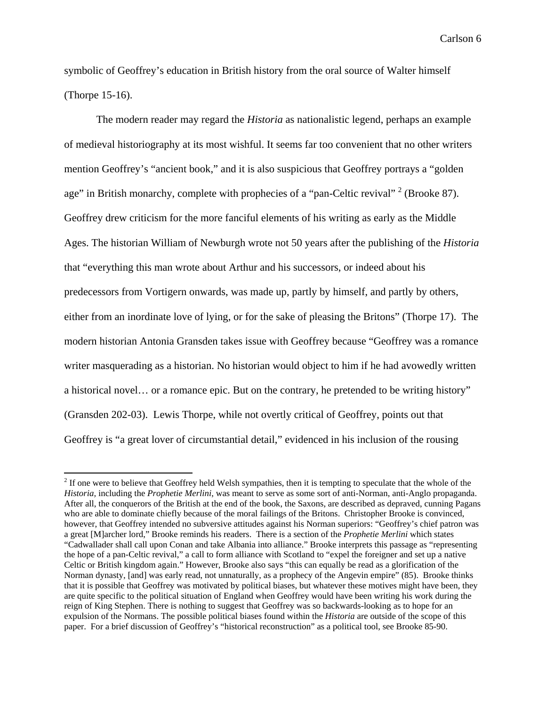symbolic of Geoffrey's education in British history from the oral source of Walter himself (Thorpe 15-16).

The modern reader may regard the *Historia* as nationalistic legend, perhaps an example of medieval historiography at its most wishful. It seems far too convenient that no other writers mention Geoffrey's "ancient book," and it is also suspicious that Geoffrey portrays a "golden age" in British monarchy, complete with prophecies of a "pan-Celtic revival"  $2$  (Brooke 87). Geoffrey drew criticism for the more fanciful elements of his writing as early as the Middle Ages. The historian William of Newburgh wrote not 50 years after the publishing of the *Historia* that "everything this man wrote about Arthur and his successors, or indeed about his predecessors from Vortigern onwards, was made up, partly by himself, and partly by others, either from an inordinate love of lying, or for the sake of pleasing the Britons" (Thorpe 17). The modern historian Antonia Gransden takes issue with Geoffrey because "Geoffrey was a romance writer masquerading as a historian. No historian would object to him if he had avowedly written a historical novel… or a romance epic. But on the contrary, he pretended to be writing history" (Gransden 202-03). Lewis Thorpe, while not overtly critical of Geoffrey, points out that Geoffrey is "a great lover of circumstantial detail," evidenced in his inclusion of the rousing

 $2<sup>2</sup>$  If one were to believe that Geoffrey held Welsh sympathies, then it is tempting to speculate that the whole of the *Historia,* including the *Prophetie Merlini*, was meant to serve as some sort of anti-Norman, anti-Anglo propaganda. After all, the conquerors of the British at the end of the book, the Saxons, are described as depraved, cunning Pagans who are able to dominate chiefly because of the moral failings of the Britons. Christopher Brooke is convinced, however, that Geoffrey intended no subversive attitudes against his Norman superiors: "Geoffrey's chief patron was a great [M]archer lord," Brooke reminds his readers. There is a section of the *Prophetie Merlini* which states "Cadwallader shall call upon Conan and take Albania into alliance." Brooke interprets this passage as "representing the hope of a pan-Celtic revival," a call to form alliance with Scotland to "expel the foreigner and set up a native Celtic or British kingdom again." However, Brooke also says "this can equally be read as a glorification of the Norman dynasty, [and] was early read, not unnaturally, as a prophecy of the Angevin empire" (85). Brooke thinks that it is possible that Geoffrey was motivated by political biases, but whatever these motives might have been, they are quite specific to the political situation of England when Geoffrey would have been writing his work during the reign of King Stephen. There is nothing to suggest that Geoffrey was so backwards-looking as to hope for an expulsion of the Normans. The possible political biases found within the *Historia* are outside of the scope of this paper. For a brief discussion of Geoffrey's "historical reconstruction" as a political tool, see Brooke 85-90.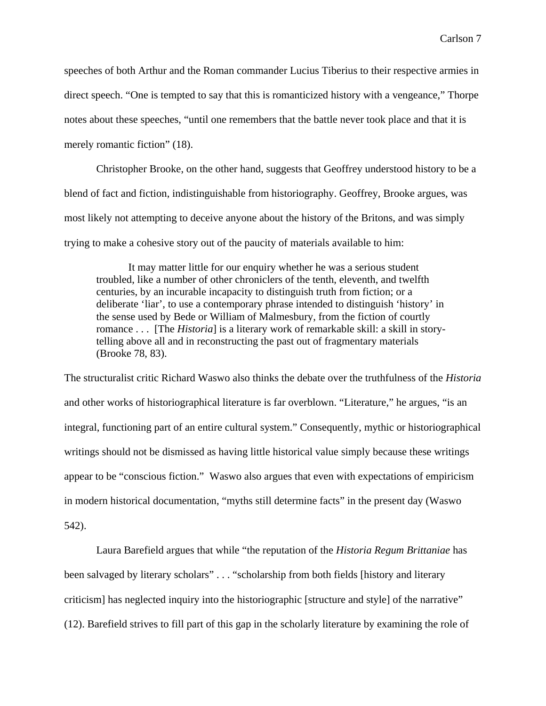speeches of both Arthur and the Roman commander Lucius Tiberius to their respective armies in direct speech. "One is tempted to say that this is romanticized history with a vengeance," Thorpe notes about these speeches, "until one remembers that the battle never took place and that it is merely romantic fiction" (18).

Christopher Brooke, on the other hand, suggests that Geoffrey understood history to be a blend of fact and fiction, indistinguishable from historiography. Geoffrey, Brooke argues, was most likely not attempting to deceive anyone about the history of the Britons, and was simply trying to make a cohesive story out of the paucity of materials available to him:

It may matter little for our enquiry whether he was a serious student troubled, like a number of other chroniclers of the tenth, eleventh, and twelfth centuries, by an incurable incapacity to distinguish truth from fiction; or a deliberate 'liar', to use a contemporary phrase intended to distinguish 'history' in the sense used by Bede or William of Malmesbury, from the fiction of courtly romance . . . [The *Historia*] is a literary work of remarkable skill: a skill in storytelling above all and in reconstructing the past out of fragmentary materials (Brooke 78, 83).

The structuralist critic Richard Waswo also thinks the debate over the truthfulness of the *Historia* and other works of historiographical literature is far overblown. "Literature," he argues, "is an integral, functioning part of an entire cultural system." Consequently, mythic or historiographical writings should not be dismissed as having little historical value simply because these writings appear to be "conscious fiction." Waswo also argues that even with expectations of empiricism in modern historical documentation, "myths still determine facts" in the present day (Waswo 542).

Laura Barefield argues that while "the reputation of the *Historia Regum Brittaniae* has been salvaged by literary scholars" . . . "scholarship from both fields [history and literary criticism] has neglected inquiry into the historiographic [structure and style] of the narrative" (12). Barefield strives to fill part of this gap in the scholarly literature by examining the role of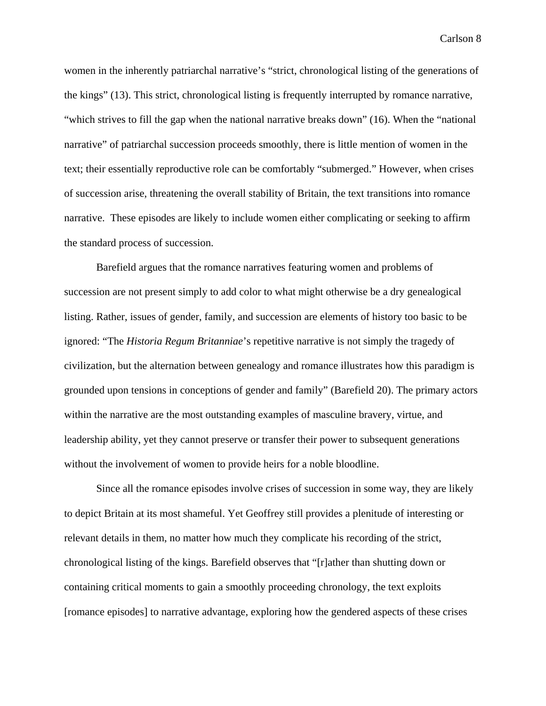women in the inherently patriarchal narrative's "strict, chronological listing of the generations of the kings" (13). This strict, chronological listing is frequently interrupted by romance narrative, "which strives to fill the gap when the national narrative breaks down" (16). When the "national narrative" of patriarchal succession proceeds smoothly, there is little mention of women in the text; their essentially reproductive role can be comfortably "submerged." However, when crises of succession arise, threatening the overall stability of Britain, the text transitions into romance narrative. These episodes are likely to include women either complicating or seeking to affirm the standard process of succession.

Barefield argues that the romance narratives featuring women and problems of succession are not present simply to add color to what might otherwise be a dry genealogical listing. Rather, issues of gender, family, and succession are elements of history too basic to be ignored: "The *Historia Regum Britanniae*'s repetitive narrative is not simply the tragedy of civilization, but the alternation between genealogy and romance illustrates how this paradigm is grounded upon tensions in conceptions of gender and family" (Barefield 20). The primary actors within the narrative are the most outstanding examples of masculine bravery, virtue, and leadership ability, yet they cannot preserve or transfer their power to subsequent generations without the involvement of women to provide heirs for a noble bloodline.

Since all the romance episodes involve crises of succession in some way, they are likely to depict Britain at its most shameful. Yet Geoffrey still provides a plenitude of interesting or relevant details in them, no matter how much they complicate his recording of the strict, chronological listing of the kings. Barefield observes that "[r]ather than shutting down or containing critical moments to gain a smoothly proceeding chronology, the text exploits [romance episodes] to narrative advantage, exploring how the gendered aspects of these crises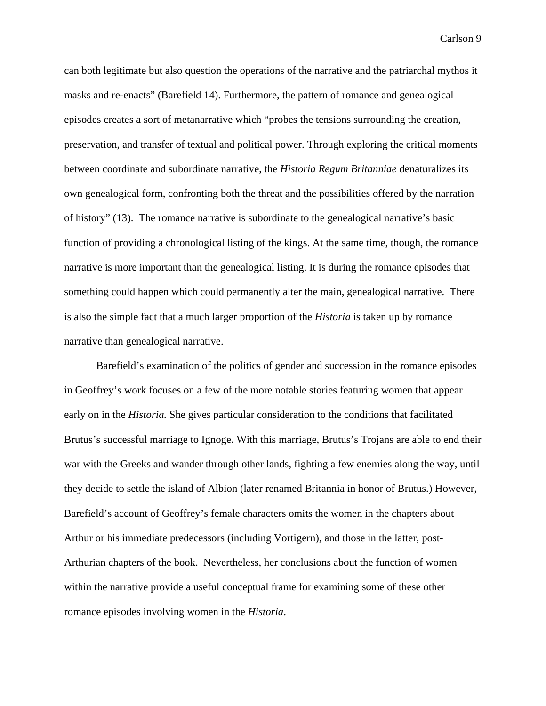can both legitimate but also question the operations of the narrative and the patriarchal mythos it masks and re-enacts" (Barefield 14). Furthermore, the pattern of romance and genealogical episodes creates a sort of metanarrative which "probes the tensions surrounding the creation, preservation, and transfer of textual and political power. Through exploring the critical moments between coordinate and subordinate narrative, the *Historia Regum Britanniae* denaturalizes its own genealogical form, confronting both the threat and the possibilities offered by the narration of history" (13). The romance narrative is subordinate to the genealogical narrative's basic function of providing a chronological listing of the kings. At the same time, though, the romance narrative is more important than the genealogical listing. It is during the romance episodes that something could happen which could permanently alter the main, genealogical narrative. There is also the simple fact that a much larger proportion of the *Historia* is taken up by romance narrative than genealogical narrative.

Barefield's examination of the politics of gender and succession in the romance episodes in Geoffrey's work focuses on a few of the more notable stories featuring women that appear early on in the *Historia.* She gives particular consideration to the conditions that facilitated Brutus's successful marriage to Ignoge. With this marriage, Brutus's Trojans are able to end their war with the Greeks and wander through other lands, fighting a few enemies along the way, until they decide to settle the island of Albion (later renamed Britannia in honor of Brutus.) However, Barefield's account of Geoffrey's female characters omits the women in the chapters about Arthur or his immediate predecessors (including Vortigern), and those in the latter, post-Arthurian chapters of the book. Nevertheless, her conclusions about the function of women within the narrative provide a useful conceptual frame for examining some of these other romance episodes involving women in the *Historia*.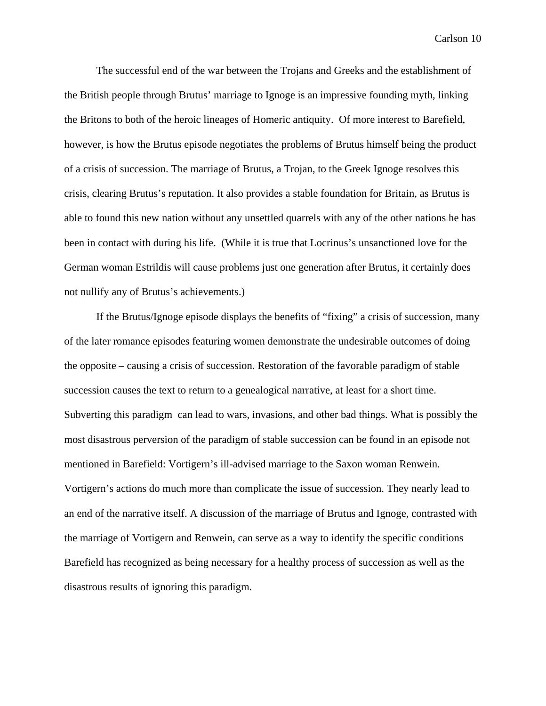The successful end of the war between the Trojans and Greeks and the establishment of the British people through Brutus' marriage to Ignoge is an impressive founding myth, linking the Britons to both of the heroic lineages of Homeric antiquity. Of more interest to Barefield, however, is how the Brutus episode negotiates the problems of Brutus himself being the product of a crisis of succession. The marriage of Brutus, a Trojan, to the Greek Ignoge resolves this crisis, clearing Brutus's reputation. It also provides a stable foundation for Britain, as Brutus is able to found this new nation without any unsettled quarrels with any of the other nations he has been in contact with during his life. (While it is true that Locrinus's unsanctioned love for the German woman Estrildis will cause problems just one generation after Brutus, it certainly does not nullify any of Brutus's achievements.)

If the Brutus/Ignoge episode displays the benefits of "fixing" a crisis of succession, many of the later romance episodes featuring women demonstrate the undesirable outcomes of doing the opposite – causing a crisis of succession. Restoration of the favorable paradigm of stable succession causes the text to return to a genealogical narrative, at least for a short time. Subverting this paradigm can lead to wars, invasions, and other bad things. What is possibly the most disastrous perversion of the paradigm of stable succession can be found in an episode not mentioned in Barefield: Vortigern's ill-advised marriage to the Saxon woman Renwein. Vortigern's actions do much more than complicate the issue of succession. They nearly lead to an end of the narrative itself. A discussion of the marriage of Brutus and Ignoge, contrasted with the marriage of Vortigern and Renwein, can serve as a way to identify the specific conditions Barefield has recognized as being necessary for a healthy process of succession as well as the disastrous results of ignoring this paradigm.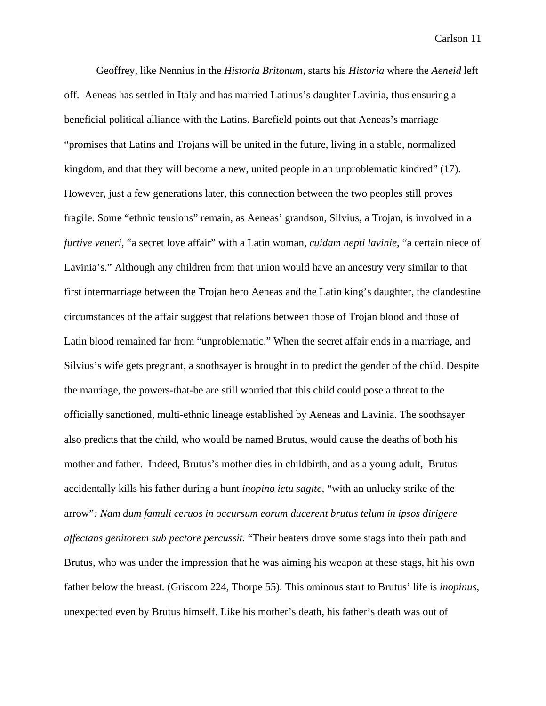Geoffrey, like Nennius in the *Historia Britonum,* starts his *Historia* where the *Aeneid* left off. Aeneas has settled in Italy and has married Latinus's daughter Lavinia, thus ensuring a beneficial political alliance with the Latins. Barefield points out that Aeneas's marriage "promises that Latins and Trojans will be united in the future, living in a stable, normalized kingdom, and that they will become a new, united people in an unproblematic kindred" (17). However, just a few generations later, this connection between the two peoples still proves fragile. Some "ethnic tensions" remain, as Aeneas' grandson, Silvius, a Trojan, is involved in a *furtive veneri*, "a secret love affair" with a Latin woman, *cuidam nepti lavinie,* "a certain niece of Lavinia's." Although any children from that union would have an ancestry very similar to that first intermarriage between the Trojan hero Aeneas and the Latin king's daughter, the clandestine circumstances of the affair suggest that relations between those of Trojan blood and those of Latin blood remained far from "unproblematic." When the secret affair ends in a marriage, and Silvius's wife gets pregnant, a soothsayer is brought in to predict the gender of the child. Despite the marriage, the powers-that-be are still worried that this child could pose a threat to the officially sanctioned, multi-ethnic lineage established by Aeneas and Lavinia. The soothsayer also predicts that the child, who would be named Brutus, would cause the deaths of both his mother and father. Indeed, Brutus's mother dies in childbirth, and as a young adult, Brutus accidentally kills his father during a hunt *inopino ictu sagite,* "with an unlucky strike of the arrow"*: Nam dum famuli ceruos in occursum eorum ducerent brutus telum in ipsos dirigere affectans genitorem sub pectore percussit.* "Their beaters drove some stags into their path and Brutus, who was under the impression that he was aiming his weapon at these stags, hit his own father below the breast. (Griscom 224, Thorpe 55). This ominous start to Brutus' life is *inopinus*, unexpected even by Brutus himself. Like his mother's death, his father's death was out of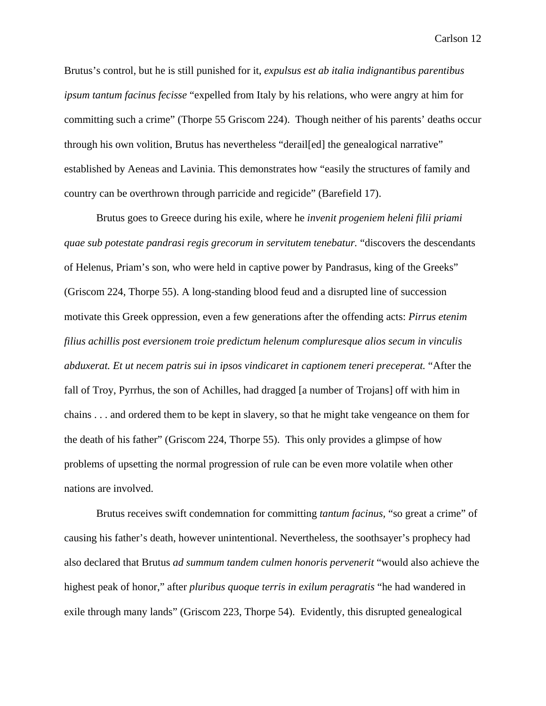Brutus's control, but he is still punished for it, *expulsus est ab italia indignantibus parentibus ipsum tantum facinus fecisse* "expelled from Italy by his relations, who were angry at him for committing such a crime" (Thorpe 55 Griscom 224). Though neither of his parents' deaths occur through his own volition, Brutus has nevertheless "derail[ed] the genealogical narrative" established by Aeneas and Lavinia. This demonstrates how "easily the structures of family and country can be overthrown through parricide and regicide" (Barefield 17).

Brutus goes to Greece during his exile, where he *invenit progeniem heleni filii priami quae sub potestate pandrasi regis grecorum in servitutem tenebatur.* "discovers the descendants of Helenus, Priam's son, who were held in captive power by Pandrasus, king of the Greeks" (Griscom 224, Thorpe 55). A long-standing blood feud and a disrupted line of succession motivate this Greek oppression, even a few generations after the offending acts: *Pirrus etenim filius achillis post eversionem troie predictum helenum compluresque alios secum in vinculis abduxerat. Et ut necem patris sui in ipsos vindicaret in captionem teneri preceperat.* "After the fall of Troy, Pyrrhus, the son of Achilles, had dragged [a number of Trojans] off with him in chains . . . and ordered them to be kept in slavery, so that he might take vengeance on them for the death of his father" (Griscom 224, Thorpe 55). This only provides a glimpse of how problems of upsetting the normal progression of rule can be even more volatile when other nations are involved.

Brutus receives swift condemnation for committing *tantum facinus,* "so great a crime" of causing his father's death, however unintentional. Nevertheless, the soothsayer's prophecy had also declared that Brutus *ad summum tandem culmen honoris pervenerit* "would also achieve the highest peak of honor," after *pluribus quoque terris in exilum peragratis* "he had wandered in exile through many lands" (Griscom 223, Thorpe 54). Evidently, this disrupted genealogical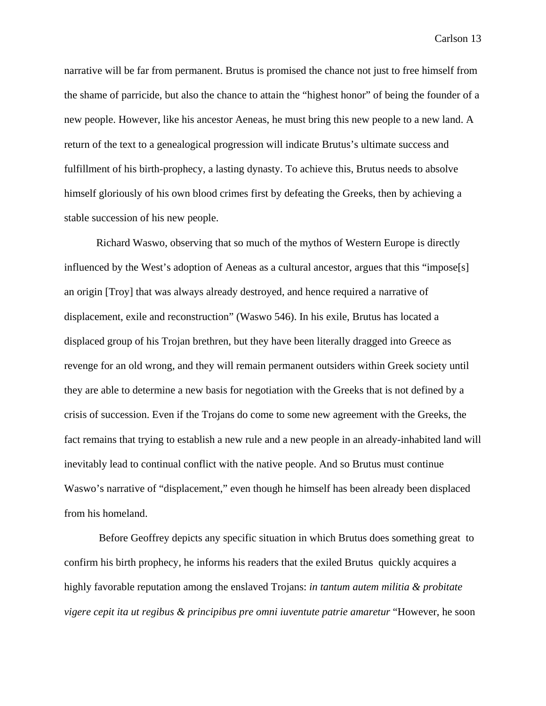narrative will be far from permanent. Brutus is promised the chance not just to free himself from the shame of parricide, but also the chance to attain the "highest honor" of being the founder of a new people. However, like his ancestor Aeneas, he must bring this new people to a new land. A return of the text to a genealogical progression will indicate Brutus's ultimate success and fulfillment of his birth-prophecy, a lasting dynasty. To achieve this, Brutus needs to absolve himself gloriously of his own blood crimes first by defeating the Greeks, then by achieving a stable succession of his new people.

Richard Waswo, observing that so much of the mythos of Western Europe is directly influenced by the West's adoption of Aeneas as a cultural ancestor, argues that this "impose[s] an origin [Troy] that was always already destroyed, and hence required a narrative of displacement, exile and reconstruction" (Waswo 546). In his exile, Brutus has located a displaced group of his Trojan brethren, but they have been literally dragged into Greece as revenge for an old wrong, and they will remain permanent outsiders within Greek society until they are able to determine a new basis for negotiation with the Greeks that is not defined by a crisis of succession. Even if the Trojans do come to some new agreement with the Greeks, the fact remains that trying to establish a new rule and a new people in an already-inhabited land will inevitably lead to continual conflict with the native people. And so Brutus must continue Waswo's narrative of "displacement," even though he himself has been already been displaced from his homeland.

 Before Geoffrey depicts any specific situation in which Brutus does something great to confirm his birth prophecy, he informs his readers that the exiled Brutus quickly acquires a highly favorable reputation among the enslaved Trojans: *in tantum autem militia & probitate vigere cepit ita ut regibus & principibus pre omni iuventute patrie amaretur* "However, he soon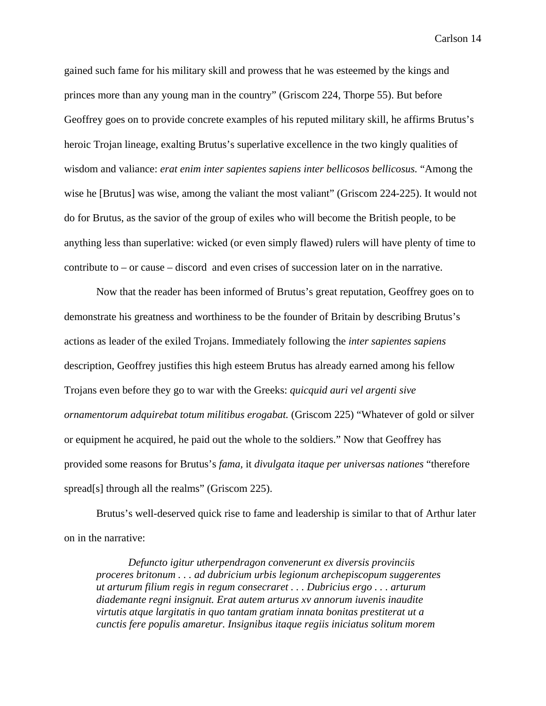gained such fame for his military skill and prowess that he was esteemed by the kings and princes more than any young man in the country" (Griscom 224, Thorpe 55). But before Geoffrey goes on to provide concrete examples of his reputed military skill, he affirms Brutus's heroic Trojan lineage, exalting Brutus's superlative excellence in the two kingly qualities of wisdom and valiance: *erat enim inter sapientes sapiens inter bellicosos bellicosus.* "Among the wise he [Brutus] was wise, among the valiant the most valiant" (Griscom 224-225). It would not do for Brutus, as the savior of the group of exiles who will become the British people, to be anything less than superlative: wicked (or even simply flawed) rulers will have plenty of time to contribute to – or cause – discord and even crises of succession later on in the narrative.

Now that the reader has been informed of Brutus's great reputation, Geoffrey goes on to demonstrate his greatness and worthiness to be the founder of Britain by describing Brutus's actions as leader of the exiled Trojans. Immediately following the *inter sapientes sapiens*  description, Geoffrey justifies this high esteem Brutus has already earned among his fellow Trojans even before they go to war with the Greeks: *quicquid auri vel argenti sive ornamentorum adquirebat totum militibus erogabat.* (Griscom 225) "Whatever of gold or silver or equipment he acquired, he paid out the whole to the soldiers." Now that Geoffrey has provided some reasons for Brutus's *fama,* it *divulgata itaque per universas nationes* "therefore spread[s] through all the realms" (Griscom 225).

 Brutus's well-deserved quick rise to fame and leadership is similar to that of Arthur later on in the narrative:

*Defuncto igitur utherpendragon convenerunt ex diversis provinciis proceres britonum . . . ad dubricium urbis legionum archepiscopum suggerentes ut arturum filium regis in regum consecraret . . . Dubricius ergo . . . arturum diademante regni insignuit. Erat autem arturus xv annorum iuvenis inaudite virtutis atque largitatis in quo tantam gratiam innata bonitas prestiterat ut a cunctis fere populis amaretur. Insignibus itaque regiis iniciatus solitum morem*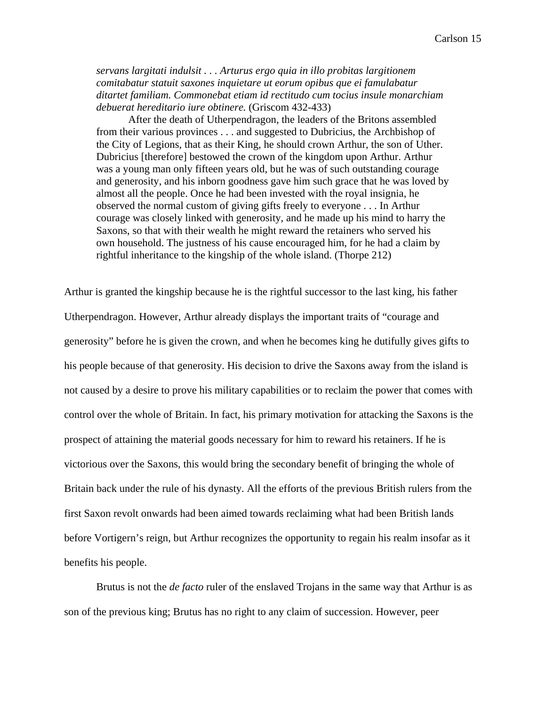*servans largitati indulsit . . . Arturus ergo quia in illo probitas largitionem comitabatur statuit saxones inquietare ut eorum opibus que ei famulabatur ditartet familiam. Commonebat etiam id rectitudo cum tocius insule monarchiam debuerat hereditario iure obtinere.* (Griscom 432-433)

 After the death of Utherpendragon, the leaders of the Britons assembled from their various provinces . . . and suggested to Dubricius, the Archbishop of the City of Legions, that as their King, he should crown Arthur, the son of Uther. Dubricius [therefore] bestowed the crown of the kingdom upon Arthur. Arthur was a young man only fifteen years old, but he was of such outstanding courage and generosity, and his inborn goodness gave him such grace that he was loved by almost all the people. Once he had been invested with the royal insignia, he observed the normal custom of giving gifts freely to everyone . . . In Arthur courage was closely linked with generosity, and he made up his mind to harry the Saxons, so that with their wealth he might reward the retainers who served his own household. The justness of his cause encouraged him, for he had a claim by rightful inheritance to the kingship of the whole island. (Thorpe 212)

Arthur is granted the kingship because he is the rightful successor to the last king, his father Utherpendragon. However, Arthur already displays the important traits of "courage and generosity" before he is given the crown, and when he becomes king he dutifully gives gifts to his people because of that generosity. His decision to drive the Saxons away from the island is not caused by a desire to prove his military capabilities or to reclaim the power that comes with control over the whole of Britain. In fact, his primary motivation for attacking the Saxons is the prospect of attaining the material goods necessary for him to reward his retainers. If he is victorious over the Saxons, this would bring the secondary benefit of bringing the whole of Britain back under the rule of his dynasty. All the efforts of the previous British rulers from the first Saxon revolt onwards had been aimed towards reclaiming what had been British lands before Vortigern's reign, but Arthur recognizes the opportunity to regain his realm insofar as it benefits his people.

Brutus is not the *de facto* ruler of the enslaved Trojans in the same way that Arthur is as son of the previous king; Brutus has no right to any claim of succession. However, peer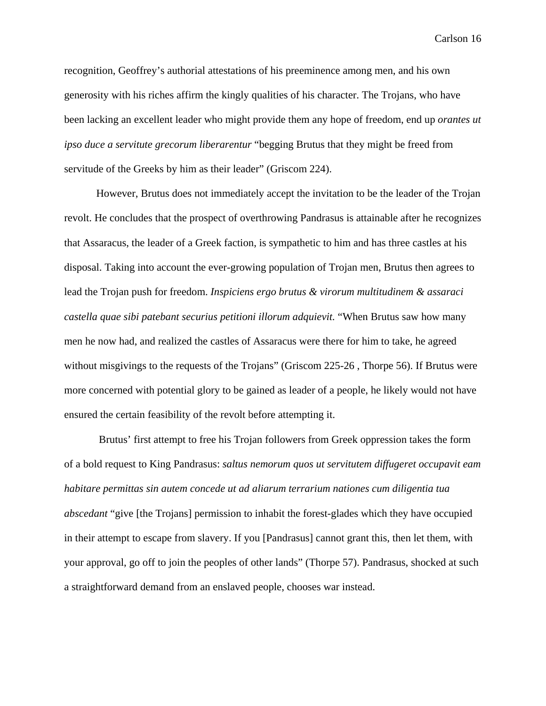recognition, Geoffrey's authorial attestations of his preeminence among men, and his own generosity with his riches affirm the kingly qualities of his character. The Trojans, who have been lacking an excellent leader who might provide them any hope of freedom, end up *orantes ut ipso duce a servitute grecorum liberarentur* "begging Brutus that they might be freed from servitude of the Greeks by him as their leader" (Griscom 224).

However, Brutus does not immediately accept the invitation to be the leader of the Trojan revolt. He concludes that the prospect of overthrowing Pandrasus is attainable after he recognizes that Assaracus, the leader of a Greek faction, is sympathetic to him and has three castles at his disposal. Taking into account the ever-growing population of Trojan men, Brutus then agrees to lead the Trojan push for freedom. *Inspiciens ergo brutus & virorum multitudinem & assaraci castella quae sibi patebant securius petitioni illorum adquievit.* "When Brutus saw how many men he now had, and realized the castles of Assaracus were there for him to take, he agreed without misgivings to the requests of the Trojans" (Griscom 225-26, Thorpe 56). If Brutus were more concerned with potential glory to be gained as leader of a people, he likely would not have ensured the certain feasibility of the revolt before attempting it.

 Brutus' first attempt to free his Trojan followers from Greek oppression takes the form of a bold request to King Pandrasus: *saltus nemorum quos ut servitutem diffugeret occupavit eam habitare permittas sin autem concede ut ad aliarum terrarium nationes cum diligentia tua abscedant* "give [the Trojans] permission to inhabit the forest-glades which they have occupied in their attempt to escape from slavery. If you [Pandrasus] cannot grant this, then let them, with your approval, go off to join the peoples of other lands" (Thorpe 57). Pandrasus, shocked at such a straightforward demand from an enslaved people, chooses war instead.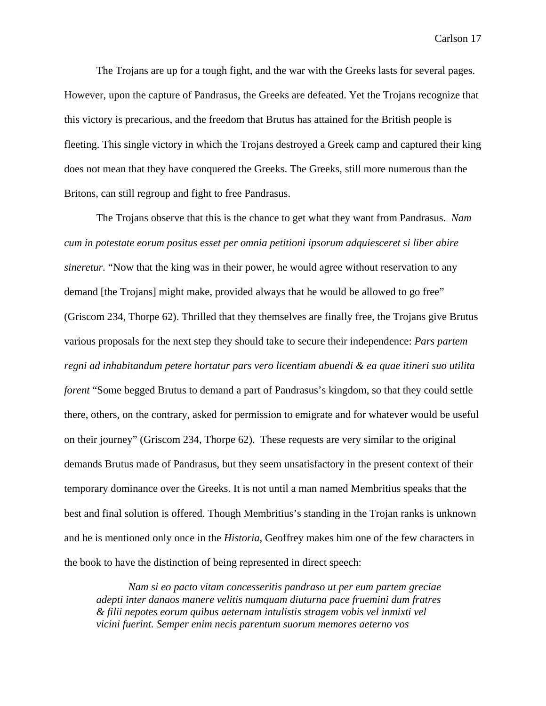The Trojans are up for a tough fight, and the war with the Greeks lasts for several pages. However, upon the capture of Pandrasus, the Greeks are defeated. Yet the Trojans recognize that this victory is precarious, and the freedom that Brutus has attained for the British people is fleeting. This single victory in which the Trojans destroyed a Greek camp and captured their king does not mean that they have conquered the Greeks. The Greeks, still more numerous than the Britons, can still regroup and fight to free Pandrasus.

 The Trojans observe that this is the chance to get what they want from Pandrasus. *Nam cum in potestate eorum positus esset per omnia petitioni ipsorum adquiesceret si liber abire sineretur.* "Now that the king was in their power, he would agree without reservation to any demand [the Trojans] might make, provided always that he would be allowed to go free" (Griscom 234, Thorpe 62). Thrilled that they themselves are finally free, the Trojans give Brutus various proposals for the next step they should take to secure their independence: *Pars partem regni ad inhabitandum petere hortatur pars vero licentiam abuendi & ea quae itineri suo utilita forent* "Some begged Brutus to demand a part of Pandrasus's kingdom, so that they could settle there, others, on the contrary, asked for permission to emigrate and for whatever would be useful on their journey" (Griscom 234, Thorpe 62). These requests are very similar to the original demands Brutus made of Pandrasus, but they seem unsatisfactory in the present context of their temporary dominance over the Greeks. It is not until a man named Membritius speaks that the best and final solution is offered. Though Membritius's standing in the Trojan ranks is unknown and he is mentioned only once in the *Historia*, Geoffrey makes him one of the few characters in the book to have the distinction of being represented in direct speech:

*Nam si eo pacto vitam concesseritis pandraso ut per eum partem greciae adepti inter danaos manere velitis numquam diuturna pace fruemini dum fratres & filii nepotes eorum quibus aeternam intulistis stragem vobis vel inmixti vel vicini fuerint. Semper enim necis parentum suorum memores aeterno vos*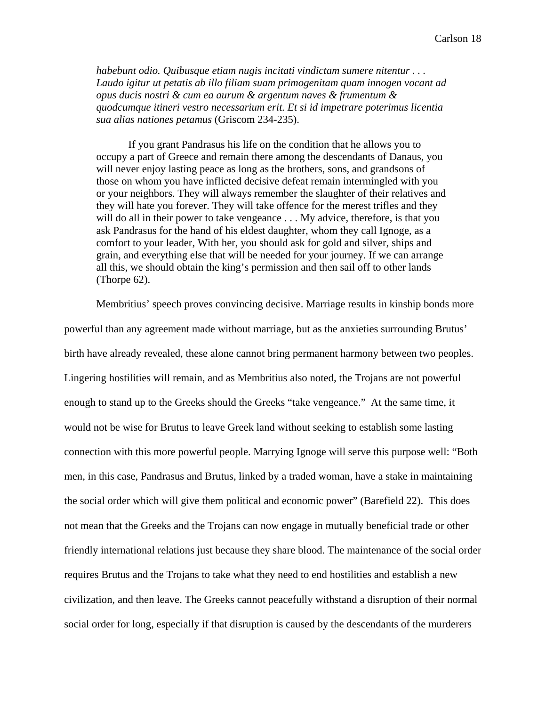*habebunt odio. Quibusque etiam nugis incitati vindictam sumere nitentur . . . Laudo igitur ut petatis ab illo filiam suam primogenitam quam innogen vocant ad opus ducis nostri & cum ea aurum & argentum naves & frumentum & quodcumque itineri vestro necessarium erit. Et si id impetrare poterimus licentia sua alias nationes petamus* (Griscom 234-235).

 If you grant Pandrasus his life on the condition that he allows you to occupy a part of Greece and remain there among the descendants of Danaus, you will never enjoy lasting peace as long as the brothers, sons, and grandsons of those on whom you have inflicted decisive defeat remain intermingled with you or your neighbors. They will always remember the slaughter of their relatives and they will hate you forever. They will take offence for the merest trifles and they will do all in their power to take vengeance . . . My advice, therefore, is that you ask Pandrasus for the hand of his eldest daughter, whom they call Ignoge, as a comfort to your leader, With her, you should ask for gold and silver, ships and grain, and everything else that will be needed for your journey. If we can arrange all this, we should obtain the king's permission and then sail off to other lands (Thorpe 62).

Membritius' speech proves convincing decisive. Marriage results in kinship bonds more powerful than any agreement made without marriage, but as the anxieties surrounding Brutus' birth have already revealed, these alone cannot bring permanent harmony between two peoples. Lingering hostilities will remain, and as Membritius also noted, the Trojans are not powerful enough to stand up to the Greeks should the Greeks "take vengeance." At the same time, it would not be wise for Brutus to leave Greek land without seeking to establish some lasting connection with this more powerful people. Marrying Ignoge will serve this purpose well: "Both men, in this case, Pandrasus and Brutus, linked by a traded woman, have a stake in maintaining the social order which will give them political and economic power" (Barefield 22). This does not mean that the Greeks and the Trojans can now engage in mutually beneficial trade or other friendly international relations just because they share blood. The maintenance of the social order requires Brutus and the Trojans to take what they need to end hostilities and establish a new civilization, and then leave. The Greeks cannot peacefully withstand a disruption of their normal social order for long, especially if that disruption is caused by the descendants of the murderers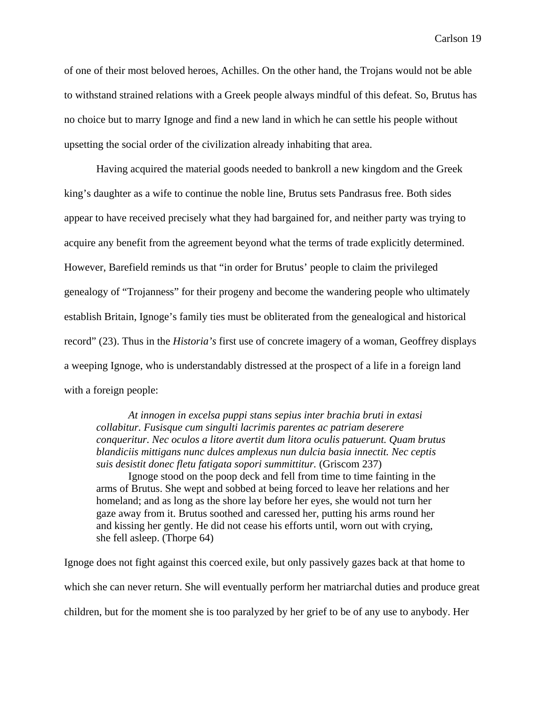of one of their most beloved heroes, Achilles. On the other hand, the Trojans would not be able to withstand strained relations with a Greek people always mindful of this defeat. So, Brutus has no choice but to marry Ignoge and find a new land in which he can settle his people without upsetting the social order of the civilization already inhabiting that area.

 Having acquired the material goods needed to bankroll a new kingdom and the Greek king's daughter as a wife to continue the noble line, Brutus sets Pandrasus free. Both sides appear to have received precisely what they had bargained for, and neither party was trying to acquire any benefit from the agreement beyond what the terms of trade explicitly determined. However, Barefield reminds us that "in order for Brutus' people to claim the privileged genealogy of "Trojanness" for their progeny and become the wandering people who ultimately establish Britain, Ignoge's family ties must be obliterated from the genealogical and historical record" (23). Thus in the *Historia's* first use of concrete imagery of a woman, Geoffrey displays a weeping Ignoge, who is understandably distressed at the prospect of a life in a foreign land with a foreign people:

*At innogen in excelsa puppi stans sepius inter brachia bruti in extasi collabitur. Fusisque cum singulti lacrimis parentes ac patriam deserere conqueritur. Nec oculos a litore avertit dum litora oculis patuerunt. Quam brutus blandiciis mittigans nunc dulces amplexus nun dulcia basia innectit. Nec ceptis suis desistit donec fletu fatigata sopori summittitur.* (Griscom 237)

Ignoge stood on the poop deck and fell from time to time fainting in the arms of Brutus. She wept and sobbed at being forced to leave her relations and her homeland; and as long as the shore lay before her eyes, she would not turn her gaze away from it. Brutus soothed and caressed her, putting his arms round her and kissing her gently. He did not cease his efforts until, worn out with crying, she fell asleep. (Thorpe 64)

Ignoge does not fight against this coerced exile, but only passively gazes back at that home to which she can never return. She will eventually perform her matriarchal duties and produce great children, but for the moment she is too paralyzed by her grief to be of any use to anybody. Her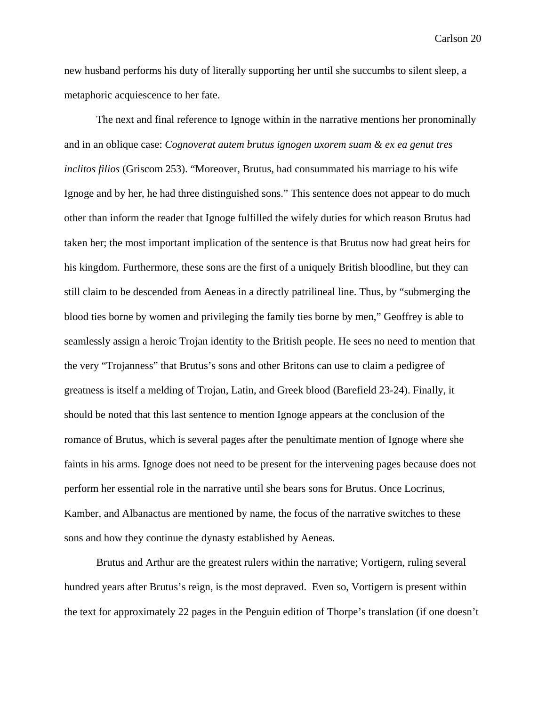new husband performs his duty of literally supporting her until she succumbs to silent sleep, a metaphoric acquiescence to her fate.

The next and final reference to Ignoge within in the narrative mentions her pronominally and in an oblique case: *Cognoverat autem brutus ignogen uxorem suam & ex ea genut tres inclitos filios* (Griscom 253). "Moreover, Brutus, had consummated his marriage to his wife Ignoge and by her, he had three distinguished sons." This sentence does not appear to do much other than inform the reader that Ignoge fulfilled the wifely duties for which reason Brutus had taken her; the most important implication of the sentence is that Brutus now had great heirs for his kingdom. Furthermore, these sons are the first of a uniquely British bloodline, but they can still claim to be descended from Aeneas in a directly patrilineal line. Thus, by "submerging the blood ties borne by women and privileging the family ties borne by men," Geoffrey is able to seamlessly assign a heroic Trojan identity to the British people. He sees no need to mention that the very "Trojanness" that Brutus's sons and other Britons can use to claim a pedigree of greatness is itself a melding of Trojan, Latin, and Greek blood (Barefield 23-24). Finally, it should be noted that this last sentence to mention Ignoge appears at the conclusion of the romance of Brutus, which is several pages after the penultimate mention of Ignoge where she faints in his arms. Ignoge does not need to be present for the intervening pages because does not perform her essential role in the narrative until she bears sons for Brutus. Once Locrinus, Kamber, and Albanactus are mentioned by name, the focus of the narrative switches to these sons and how they continue the dynasty established by Aeneas.

Brutus and Arthur are the greatest rulers within the narrative; Vortigern, ruling several hundred years after Brutus's reign, is the most depraved. Even so, Vortigern is present within the text for approximately 22 pages in the Penguin edition of Thorpe's translation (if one doesn't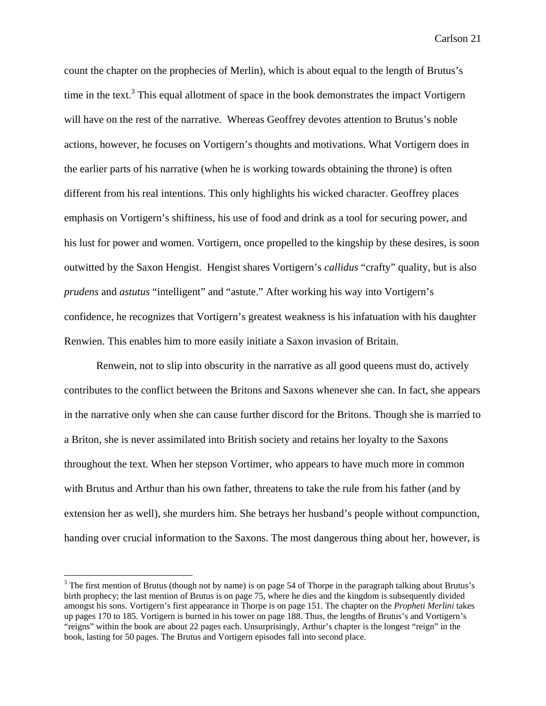count the chapter on the prophecies of Merlin), which is about equal to the length of Brutus's time in the text.<sup>3</sup> This equal allotment of space in the book demonstrates the impact Vortigern will have on the rest of the narrative. Whereas Geoffrey devotes attention to Brutus's noble actions, however, he focuses on Vortigern's thoughts and motivations. What Vortigern does in the earlier parts of his narrative (when he is working towards obtaining the throne) is often different from his real intentions. This only highlights his wicked character. Geoffrey places emphasis on Vortigern's shiftiness, his use of food and drink as a tool for securing power, and his lust for power and women. Vortigern, once propelled to the kingship by these desires, is soon outwitted by the Saxon Hengist. Hengist shares Vortigern's *callidus* "crafty" quality, but is also *prudens* and *astutus* "intelligent" and "astute." After working his way into Vortigern's confidence, he recognizes that Vortigern's greatest weakness is his infatuation with his daughter Renwien. This enables him to more easily initiate a Saxon invasion of Britain.

Renwein, not to slip into obscurity in the narrative as all good queens must do, actively contributes to the conflict between the Britons and Saxons whenever she can. In fact, she appears in the narrative only when she can cause further discord for the Britons. Though she is married to a Briton, she is never assimilated into British society and retains her loyalty to the Saxons throughout the text. When her stepson Vortimer, who appears to have much more in common with Brutus and Arthur than his own father, threatens to take the rule from his father (and by extension her as well), she murders him. She betrays her husband's people without compunction, handing over crucial information to the Saxons. The most dangerous thing about her, however, is

 $3$  The first mention of Brutus (though not by name) is on page 54 of Thorpe in the paragraph talking about Brutus's birth prophecy; the last mention of Brutus is on page 75, where he dies and the kingdom is subsequently divided amongst his sons. Vortigern's first appearance in Thorpe is on page 151. The chapter on the *Propheti Merlini* takes up pages 170 to 185. Vortigern is burned in his tower on page 188. Thus, the lengths of Brutus's and Vortigern's "reigns" within the book are about 22 pages each. Unsurprisingly, Arthur's chapter is the longest "reign" in the book, lasting for 50 pages. The Brutus and Vortigern episodes fall into second place.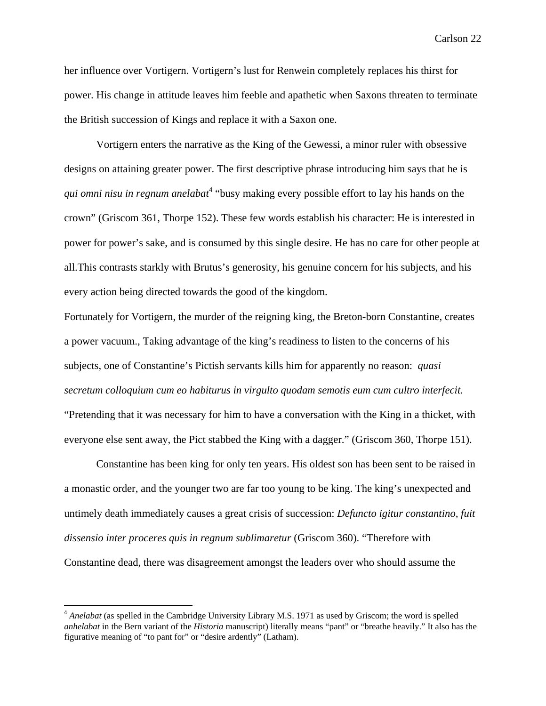her influence over Vortigern. Vortigern's lust for Renwein completely replaces his thirst for power. His change in attitude leaves him feeble and apathetic when Saxons threaten to terminate the British succession of Kings and replace it with a Saxon one.

 Vortigern enters the narrative as the King of the Gewessi, a minor ruler with obsessive designs on attaining greater power. The first descriptive phrase introducing him says that he is *qui omni nisu in regnum anelabat*<sup>4</sup> "busy making every possible effort to lay his hands on the crown" (Griscom 361, Thorpe 152). These few words establish his character: He is interested in power for power's sake, and is consumed by this single desire. He has no care for other people at all.This contrasts starkly with Brutus's generosity, his genuine concern for his subjects, and his every action being directed towards the good of the kingdom.

Fortunately for Vortigern, the murder of the reigning king, the Breton-born Constantine, creates a power vacuum., Taking advantage of the king's readiness to listen to the concerns of his subjects, one of Constantine's Pictish servants kills him for apparently no reason: *quasi secretum colloquium cum eo habiturus in virgulto quodam semotis eum cum cultro interfecit.* 

"Pretending that it was necessary for him to have a conversation with the King in a thicket, with everyone else sent away, the Pict stabbed the King with a dagger." (Griscom 360, Thorpe 151).

 Constantine has been king for only ten years. His oldest son has been sent to be raised in a monastic order, and the younger two are far too young to be king. The king's unexpected and untimely death immediately causes a great crisis of succession: *Defuncto igitur constantino, fuit dissensio inter proceres quis in regnum sublimaretur* (Griscom 360). "Therefore with Constantine dead, there was disagreement amongst the leaders over who should assume the

<sup>&</sup>lt;sup>4</sup> Anelabat (as spelled in the Cambridge University Library M.S. 1971 as used by Griscom; the word is spelled *anhelabat* in the Bern variant of the *Historia* manuscript) literally means "pant" or "breathe heavily." It also has the figurative meaning of "to pant for" or "desire ardently" (Latham).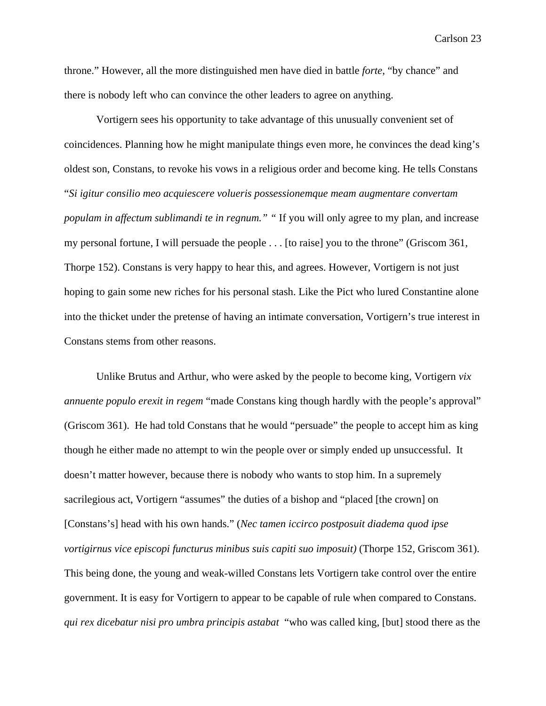throne." However, all the more distinguished men have died in battle *forte*, "by chance" and there is nobody left who can convince the other leaders to agree on anything.

Vortigern sees his opportunity to take advantage of this unusually convenient set of coincidences. Planning how he might manipulate things even more, he convinces the dead king's oldest son, Constans, to revoke his vows in a religious order and become king. He tells Constans "*Si igitur consilio meo acquiescere volueris possessionemque meam augmentare convertam populam in affectum sublimandi te in regnum.*" "If you will only agree to my plan, and increase my personal fortune, I will persuade the people . . . [to raise] you to the throne" (Griscom 361, Thorpe 152). Constans is very happy to hear this, and agrees. However, Vortigern is not just hoping to gain some new riches for his personal stash. Like the Pict who lured Constantine alone into the thicket under the pretense of having an intimate conversation, Vortigern's true interest in Constans stems from other reasons.

Unlike Brutus and Arthur, who were asked by the people to become king, Vortigern *vix annuente populo erexit in regem* "made Constans king though hardly with the people's approval" (Griscom 361). He had told Constans that he would "persuade" the people to accept him as king though he either made no attempt to win the people over or simply ended up unsuccessful. It doesn't matter however, because there is nobody who wants to stop him. In a supremely sacrilegious act, Vortigern "assumes" the duties of a bishop and "placed [the crown] on [Constans's] head with his own hands." (*Nec tamen iccirco postposuit diadema quod ipse vortigirnus vice episcopi functurus minibus suis capiti suo imposuit)* (Thorpe 152, Griscom 361). This being done, the young and weak-willed Constans lets Vortigern take control over the entire government. It is easy for Vortigern to appear to be capable of rule when compared to Constans. *qui rex dicebatur nisi pro umbra principis astabat* "who was called king, [but] stood there as the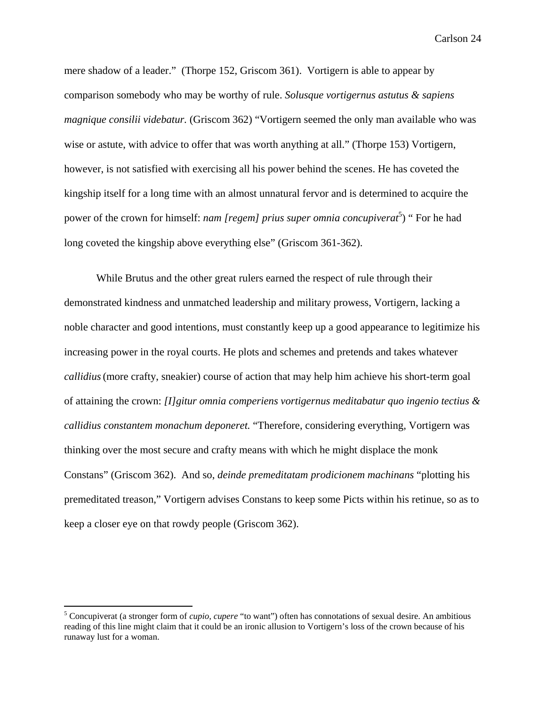mere shadow of a leader." (Thorpe 152, Griscom 361). Vortigern is able to appear by comparison somebody who may be worthy of rule. *Solusque vortigernus astutus & sapiens magnique consilii videbatur.* (Griscom 362) "Vortigern seemed the only man available who was wise or astute, with advice to offer that was worth anything at all." (Thorpe 153) Vortigern, however, is not satisfied with exercising all his power behind the scenes. He has coveted the kingship itself for a long time with an almost unnatural fervor and is determined to acquire the power of the crown for himself: *nam [regem] prius super omnia concupiverat*<sup>5</sup>) " For he had long coveted the kingship above everything else" (Griscom 361-362).

While Brutus and the other great rulers earned the respect of rule through their demonstrated kindness and unmatched leadership and military prowess, Vortigern, lacking a noble character and good intentions, must constantly keep up a good appearance to legitimize his increasing power in the royal courts. He plots and schemes and pretends and takes whatever *callidius*(more crafty, sneakier) course of action that may help him achieve his short-term goal of attaining the crown: *[I]gitur omnia comperiens vortigernus meditabatur quo ingenio tectius & callidius constantem monachum deponeret.* "Therefore, considering everything, Vortigern was thinking over the most secure and crafty means with which he might displace the monk Constans" (Griscom 362). And so, *deinde premeditatam prodicionem machinans* "plotting his premeditated treason," Vortigern advises Constans to keep some Picts within his retinue, so as to keep a closer eye on that rowdy people (Griscom 362).

<sup>5</sup> Concupiverat (a stronger form of *cupio, cupere* "to want") often has connotations of sexual desire. An ambitious reading of this line might claim that it could be an ironic allusion to Vortigern's loss of the crown because of his runaway lust for a woman.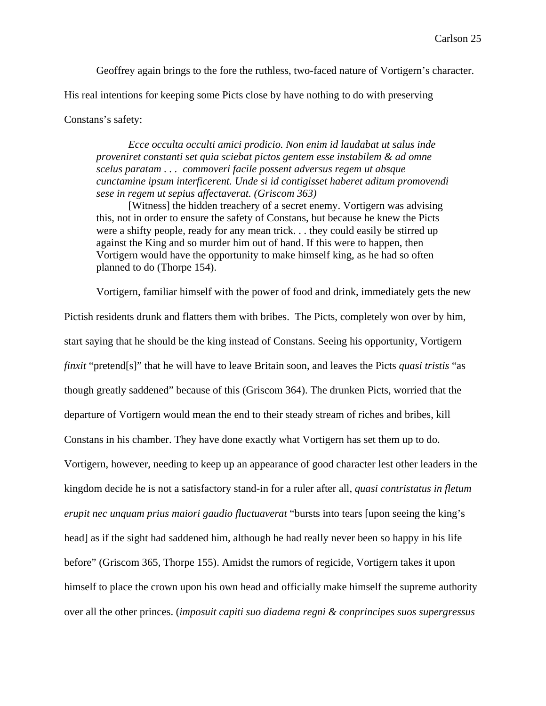Geoffrey again brings to the fore the ruthless, two-faced nature of Vortigern's character.

His real intentions for keeping some Picts close by have nothing to do with preserving

### Constans's safety:

*Ecce occulta occulti amici prodicio. Non enim id laudabat ut salus inde proveniret constanti set quia sciebat pictos gentem esse instabilem & ad omne scelus paratam . . . commoveri facile possent adversus regem ut absque cunctamine ipsum interficerent. Unde si id contigisset haberet aditum promovendi sese in regem ut sepius affectaverat. (Griscom 363)* 

[Witness] the hidden treachery of a secret enemy. Vortigern was advising this, not in order to ensure the safety of Constans, but because he knew the Picts were a shifty people, ready for any mean trick. . . they could easily be stirred up against the King and so murder him out of hand. If this were to happen, then Vortigern would have the opportunity to make himself king, as he had so often planned to do (Thorpe 154).

Vortigern, familiar himself with the power of food and drink, immediately gets the new

Pictish residents drunk and flatters them with bribes. The Picts, completely won over by him, start saying that he should be the king instead of Constans. Seeing his opportunity, Vortigern *finxit* "pretend[s]" that he will have to leave Britain soon, and leaves the Picts *quasi tristis* "as though greatly saddened" because of this (Griscom 364). The drunken Picts, worried that the departure of Vortigern would mean the end to their steady stream of riches and bribes, kill Constans in his chamber. They have done exactly what Vortigern has set them up to do. Vortigern, however, needing to keep up an appearance of good character lest other leaders in the kingdom decide he is not a satisfactory stand-in for a ruler after all, *quasi contristatus in fletum erupit nec unquam prius maiori gaudio fluctuaverat* "bursts into tears [upon seeing the king's head] as if the sight had saddened him, although he had really never been so happy in his life before" (Griscom 365, Thorpe 155). Amidst the rumors of regicide, Vortigern takes it upon himself to place the crown upon his own head and officially make himself the supreme authority over all the other princes. (*imposuit capiti suo diadema regni & conprincipes suos supergressus*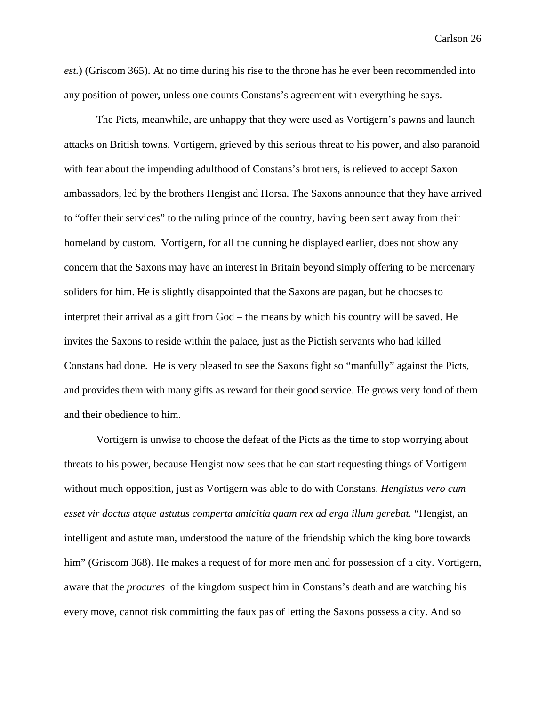*est.*) (Griscom 365). At no time during his rise to the throne has he ever been recommended into any position of power, unless one counts Constans's agreement with everything he says.

The Picts, meanwhile, are unhappy that they were used as Vortigern's pawns and launch attacks on British towns. Vortigern, grieved by this serious threat to his power, and also paranoid with fear about the impending adulthood of Constans's brothers, is relieved to accept Saxon ambassadors, led by the brothers Hengist and Horsa. The Saxons announce that they have arrived to "offer their services" to the ruling prince of the country, having been sent away from their homeland by custom. Vortigern, for all the cunning he displayed earlier, does not show any concern that the Saxons may have an interest in Britain beyond simply offering to be mercenary soliders for him. He is slightly disappointed that the Saxons are pagan, but he chooses to interpret their arrival as a gift from God – the means by which his country will be saved. He invites the Saxons to reside within the palace, just as the Pictish servants who had killed Constans had done. He is very pleased to see the Saxons fight so "manfully" against the Picts, and provides them with many gifts as reward for their good service. He grows very fond of them and their obedience to him.

Vortigern is unwise to choose the defeat of the Picts as the time to stop worrying about threats to his power, because Hengist now sees that he can start requesting things of Vortigern without much opposition, just as Vortigern was able to do with Constans. *Hengistus vero cum esset vir doctus atque astutus comperta amicitia quam rex ad erga illum gerebat.* "Hengist, an intelligent and astute man, understood the nature of the friendship which the king bore towards him" (Griscom 368). He makes a request of for more men and for possession of a city. Vortigern, aware that the *procures* of the kingdom suspect him in Constans's death and are watching his every move, cannot risk committing the faux pas of letting the Saxons possess a city. And so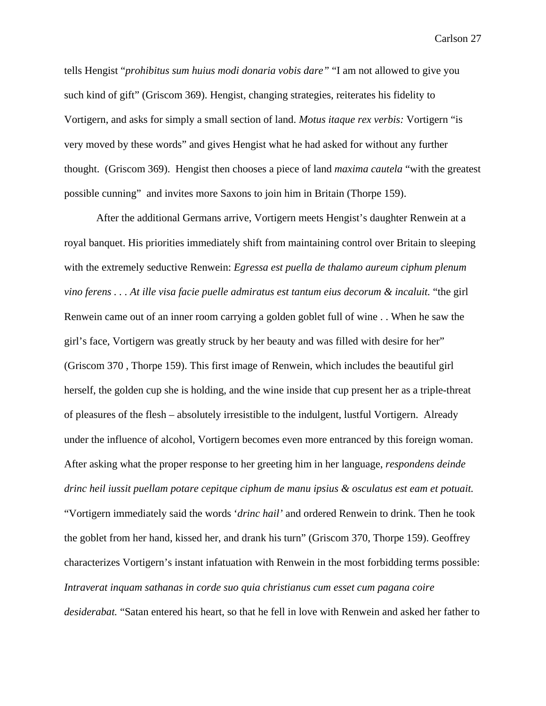tells Hengist "*prohibitus sum huius modi donaria vobis dare"* "I am not allowed to give you such kind of gift" (Griscom 369). Hengist, changing strategies, reiterates his fidelity to Vortigern, and asks for simply a small section of land. *Motus itaque rex verbis:* Vortigern "is very moved by these words" and gives Hengist what he had asked for without any further thought. (Griscom 369). Hengist then chooses a piece of land *maxima cautela* "with the greatest possible cunning" and invites more Saxons to join him in Britain (Thorpe 159).

After the additional Germans arrive, Vortigern meets Hengist's daughter Renwein at a royal banquet. His priorities immediately shift from maintaining control over Britain to sleeping with the extremely seductive Renwein: *Egressa est puella de thalamo aureum ciphum plenum vino ferens . . . At ille visa facie puelle admiratus est tantum eius decorum & incaluit.* "the girl Renwein came out of an inner room carrying a golden goblet full of wine . . When he saw the girl's face, Vortigern was greatly struck by her beauty and was filled with desire for her" (Griscom 370 , Thorpe 159). This first image of Renwein, which includes the beautiful girl herself, the golden cup she is holding, and the wine inside that cup present her as a triple-threat of pleasures of the flesh – absolutely irresistible to the indulgent, lustful Vortigern. Already under the influence of alcohol, Vortigern becomes even more entranced by this foreign woman. After asking what the proper response to her greeting him in her language, *respondens deinde drinc heil iussit puellam potare cepitque ciphum de manu ipsius & osculatus est eam et potuait.*  "Vortigern immediately said the words '*drinc hail'* and ordered Renwein to drink. Then he took the goblet from her hand, kissed her, and drank his turn" (Griscom 370, Thorpe 159). Geoffrey characterizes Vortigern's instant infatuation with Renwein in the most forbidding terms possible: *Intraverat inquam sathanas in corde suo quia christianus cum esset cum pagana coire desiderabat.* "Satan entered his heart, so that he fell in love with Renwein and asked her father to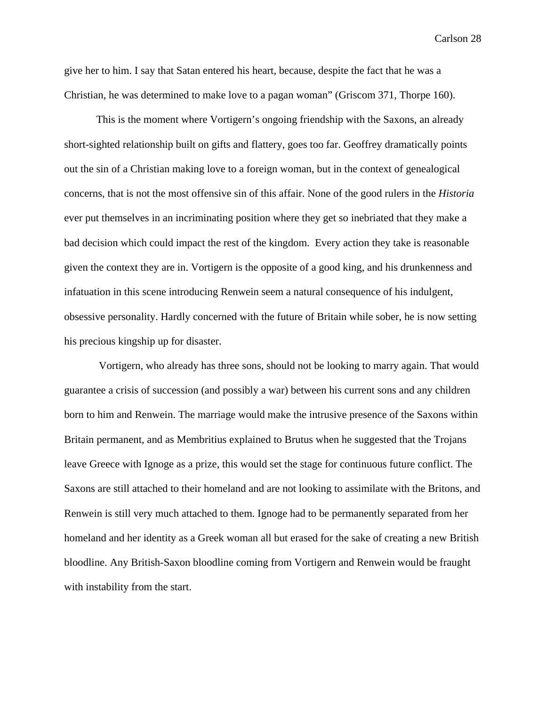give her to him. I say that Satan entered his heart, because, despite the fact that he was a Christian, he was determined to make love to a pagan woman" (Griscom 371, Thorpe 160).

This is the moment where Vortigern's ongoing friendship with the Saxons, an already short-sighted relationship built on gifts and flattery, goes too far. Geoffrey dramatically points out the sin of a Christian making love to a foreign woman, but in the context of genealogical concerns, that is not the most offensive sin of this affair. None of the good rulers in the *Historia*  ever put themselves in an incriminating position where they get so inebriated that they make a bad decision which could impact the rest of the kingdom. Every action they take is reasonable given the context they are in. Vortigern is the opposite of a good king, and his drunkenness and infatuation in this scene introducing Renwein seem a natural consequence of his indulgent, obsessive personality. Hardly concerned with the future of Britain while sober, he is now setting his precious kingship up for disaster.

 Vortigern, who already has three sons, should not be looking to marry again. That would guarantee a crisis of succession (and possibly a war) between his current sons and any children born to him and Renwein. The marriage would make the intrusive presence of the Saxons within Britain permanent, and as Membritius explained to Brutus when he suggested that the Trojans leave Greece with Ignoge as a prize, this would set the stage for continuous future conflict. The Saxons are still attached to their homeland and are not looking to assimilate with the Britons, and Renwein is still very much attached to them. Ignoge had to be permanently separated from her homeland and her identity as a Greek woman all but erased for the sake of creating a new British bloodline. Any British-Saxon bloodline coming from Vortigern and Renwein would be fraught with instability from the start.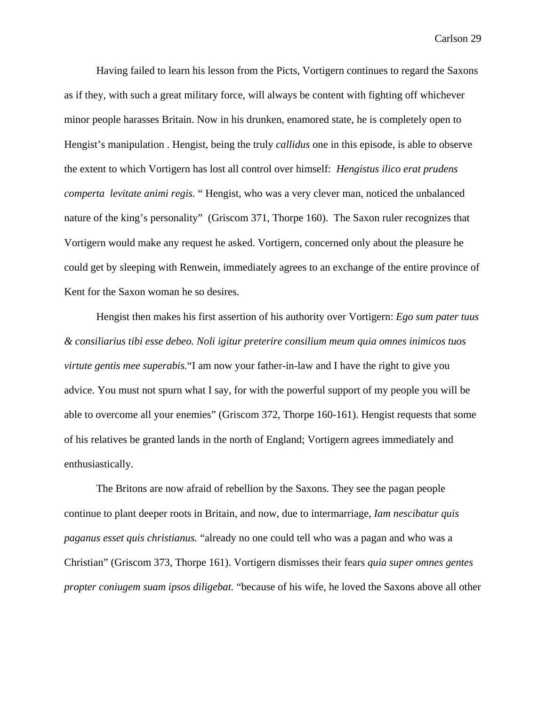Having failed to learn his lesson from the Picts, Vortigern continues to regard the Saxons as if they, with such a great military force, will always be content with fighting off whichever minor people harasses Britain. Now in his drunken, enamored state, he is completely open to Hengist's manipulation . Hengist, being the truly *callidus* one in this episode, is able to observe the extent to which Vortigern has lost all control over himself: *Hengistus ilico erat prudens comperta levitate animi regis.* " Hengist, who was a very clever man, noticed the unbalanced nature of the king's personality" (Griscom 371, Thorpe 160). The Saxon ruler recognizes that Vortigern would make any request he asked. Vortigern, concerned only about the pleasure he could get by sleeping with Renwein, immediately agrees to an exchange of the entire province of Kent for the Saxon woman he so desires.

Hengist then makes his first assertion of his authority over Vortigern: *Ego sum pater tuus & consiliarius tibi esse debeo. Noli igitur preterire consilium meum quia omnes inimicos tuos virtute gentis mee superabis.*"I am now your father-in-law and I have the right to give you advice. You must not spurn what I say, for with the powerful support of my people you will be able to overcome all your enemies" (Griscom 372, Thorpe 160-161). Hengist requests that some of his relatives be granted lands in the north of England; Vortigern agrees immediately and enthusiastically.

The Britons are now afraid of rebellion by the Saxons. They see the pagan people continue to plant deeper roots in Britain, and now, due to intermarriage, *Iam nescibatur quis paganus esset quis christianus.* "already no one could tell who was a pagan and who was a Christian" (Griscom 373, Thorpe 161). Vortigern dismisses their fears *quia super omnes gentes propter coniugem suam ipsos diligebat.* "because of his wife, he loved the Saxons above all other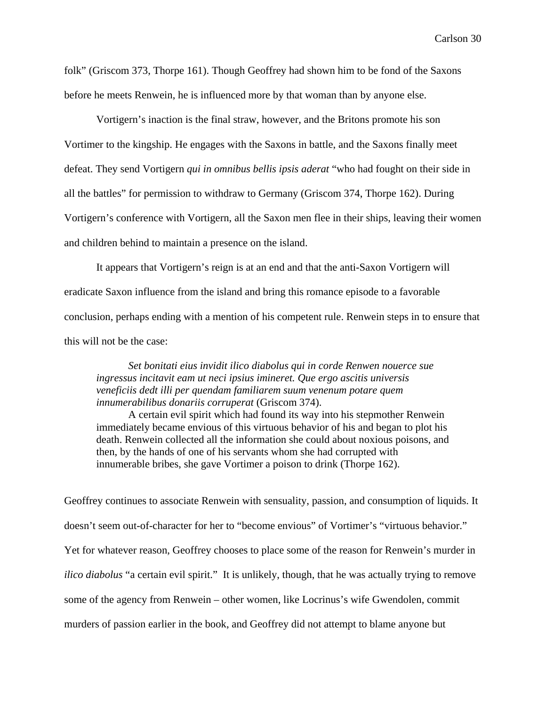folk" (Griscom 373, Thorpe 161). Though Geoffrey had shown him to be fond of the Saxons before he meets Renwein, he is influenced more by that woman than by anyone else.

Vortigern's inaction is the final straw, however, and the Britons promote his son Vortimer to the kingship. He engages with the Saxons in battle, and the Saxons finally meet defeat. They send Vortigern *qui in omnibus bellis ipsis aderat* "who had fought on their side in all the battles" for permission to withdraw to Germany (Griscom 374, Thorpe 162). During Vortigern's conference with Vortigern, all the Saxon men flee in their ships, leaving their women and children behind to maintain a presence on the island.

It appears that Vortigern's reign is at an end and that the anti-Saxon Vortigern will eradicate Saxon influence from the island and bring this romance episode to a favorable conclusion, perhaps ending with a mention of his competent rule. Renwein steps in to ensure that this will not be the case:

*Set bonitati eius invidit ilico diabolus qui in corde Renwen nouerce sue ingressus incitavit eam ut neci ipsius imineret. Que ergo ascitis universis veneficiis dedt illi per quendam familiarem suum venenum potare quem innumerabilibus donariis corruperat* (Griscom 374).

A certain evil spirit which had found its way into his stepmother Renwein immediately became envious of this virtuous behavior of his and began to plot his death. Renwein collected all the information she could about noxious poisons, and then, by the hands of one of his servants whom she had corrupted with innumerable bribes, she gave Vortimer a poison to drink (Thorpe 162).

Geoffrey continues to associate Renwein with sensuality, passion, and consumption of liquids. It doesn't seem out-of-character for her to "become envious" of Vortimer's "virtuous behavior." Yet for whatever reason, Geoffrey chooses to place some of the reason for Renwein's murder in *ilico diabolus* "a certain evil spirit." It is unlikely, though, that he was actually trying to remove some of the agency from Renwein – other women, like Locrinus's wife Gwendolen, commit murders of passion earlier in the book, and Geoffrey did not attempt to blame anyone but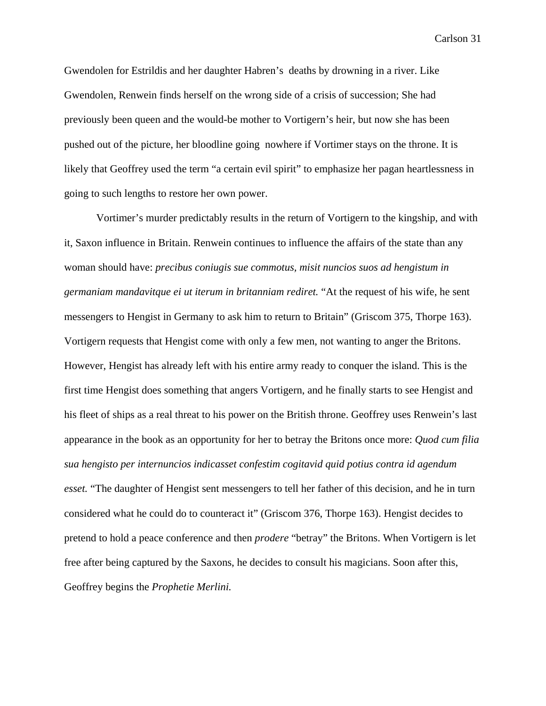Gwendolen for Estrildis and her daughter Habren's deaths by drowning in a river. Like Gwendolen, Renwein finds herself on the wrong side of a crisis of succession; She had previously been queen and the would-be mother to Vortigern's heir, but now she has been pushed out of the picture, her bloodline going nowhere if Vortimer stays on the throne. It is likely that Geoffrey used the term "a certain evil spirit" to emphasize her pagan heartlessness in going to such lengths to restore her own power.

Vortimer's murder predictably results in the return of Vortigern to the kingship, and with it, Saxon influence in Britain. Renwein continues to influence the affairs of the state than any woman should have: *precibus coniugis sue commotus, misit nuncios suos ad hengistum in germaniam mandavitque ei ut iterum in britanniam rediret.* "At the request of his wife, he sent messengers to Hengist in Germany to ask him to return to Britain" (Griscom 375, Thorpe 163). Vortigern requests that Hengist come with only a few men, not wanting to anger the Britons. However, Hengist has already left with his entire army ready to conquer the island. This is the first time Hengist does something that angers Vortigern, and he finally starts to see Hengist and his fleet of ships as a real threat to his power on the British throne. Geoffrey uses Renwein's last appearance in the book as an opportunity for her to betray the Britons once more: *Quod cum filia sua hengisto per internuncios indicasset confestim cogitavid quid potius contra id agendum esset.* "The daughter of Hengist sent messengers to tell her father of this decision, and he in turn considered what he could do to counteract it" (Griscom 376, Thorpe 163). Hengist decides to pretend to hold a peace conference and then *prodere* "betray" the Britons. When Vortigern is let free after being captured by the Saxons, he decides to consult his magicians. Soon after this, Geoffrey begins the *Prophetie Merlini.*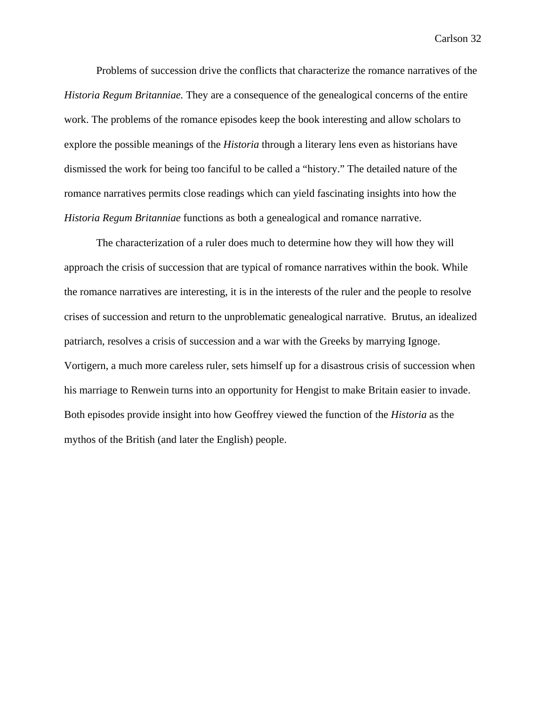Problems of succession drive the conflicts that characterize the romance narratives of the *Historia Regum Britanniae.* They are a consequence of the genealogical concerns of the entire work. The problems of the romance episodes keep the book interesting and allow scholars to explore the possible meanings of the *Historia* through a literary lens even as historians have dismissed the work for being too fanciful to be called a "history." The detailed nature of the romance narratives permits close readings which can yield fascinating insights into how the *Historia Regum Britanniae* functions as both a genealogical and romance narrative.

The characterization of a ruler does much to determine how they will how they will approach the crisis of succession that are typical of romance narratives within the book. While the romance narratives are interesting, it is in the interests of the ruler and the people to resolve crises of succession and return to the unproblematic genealogical narrative. Brutus, an idealized patriarch, resolves a crisis of succession and a war with the Greeks by marrying Ignoge. Vortigern, a much more careless ruler, sets himself up for a disastrous crisis of succession when his marriage to Renwein turns into an opportunity for Hengist to make Britain easier to invade. Both episodes provide insight into how Geoffrey viewed the function of the *Historia* as the mythos of the British (and later the English) people.